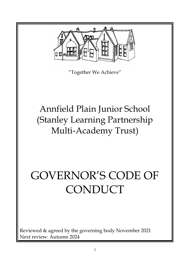

"Together We Achieve"

# Annfield Plain Junior School (Stanley Learning Partnership Multi-Academy Trust)

# GOVERNOR'S CODE OF **CONDUCT**

Reviewed & agreed by the governing body November 2021 Next review: Autumn 2024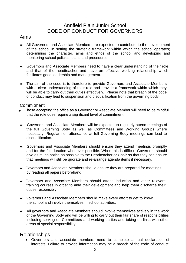# Annfield Plain Junior School CODE OF CONDUCT FOR GOVERNORS

## Aims

- All Governors and Associate Members are expected to contribute to the development of the school in setting the strategic framework within which the school operates; determining the character, aims and ethos of the school and developing and monitoring school policies, plans and procedures.
- Governors and Associate Members need to have a clear understanding of their role and that of the headteacher and have an effective working relationship which facilitates good leadership and management.
- $\bullet$ The aim of the code is to therefore to provide Governors and Associate Members with a clear understanding of their role and provide a framework within which they will be able to carry out their duties effectively. Please note that breach of the code of conduct may lead to suspension and disqualification from the governing body.

#### **Commitment**

- Those accepting the office as a Governor or Associate Member will need to be mindful that the role does require a significant level of commitment.
- Governors and Associate Members will be expected to regularly attend meetings of the full Governing Body as well as Committees and Working Groups where necessary. Regular non-attendance at full Governing Body meetings can lead to disqualification.
- Governors and Associate Members should ensure they attend meetings promptly and for the full duration whenever possible. When this is difficult Governors should give as much notice as possible to the Headteacher or Chair so that they can ensure that meetings will still be quorate and re-arrange agenda items if necessary.
- Governors and Associate Members should ensure they are prepared for meetings by reading all papers beforehand.
- Governors and Associate Members should attend induction and other relevant training courses in order to aide their development and help them discharge their duties responsibly.
- Governors and Associate Members should make every effort to get to know the school and involve themselves in school activities.
- All governors and Associate Members should involve themselves actively in the work of the Governing Body and will be willing to carry out their fair share of responsibilities including serving on Committees and working parties and taking on links with other areas of special responsibility.

# Relationships

• Governors and associate members need to complete annual declaration of interests. Failure to provide information may be a breach of the code of conduct.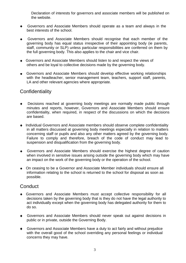Declaration of interests for governors and associate members will be published on the website.

- Governors and Associate Members should operate as a team and always in the best interests of the school.
- Governors and Associate Members should recognise that each member of the governing body has equal status irrespective of their appointing body (ie parents, staff, community or SLP) unless particular responsibilities are conferred on them by the full governing body. This also applies to the chair and vice chair.
- Governors and Associate Members should listen to and respect the views of others and be loyal to collective decisions made by the governing body.
- Governors and Associate Members should develop effective working relationships with the headteacher, senior management team, teachers, support staff, parents, LA and other relevant agencies where appropriate.

# **Confidentiality**

- Decisions reached at governing body meetings are normally made public through  $\bullet$ minutes and reports, however, Governors and Associate Members should ensure confidentiality, when required, in respect of the discussions on which the decisions are based.
- Individual Governors and Associate members should observe complete confidentiality in all matters discussed at governing body meetings especially in relation to matters concerning staff or pupils and also any other matters agreed by the governing body. Failure to comply and therefore, breach of the code of conduct may lead to suspension and disqualification from the governing body.
- Governors and Associate Members should exercise the highest degree of caution when involved in sensitive issues arising outside the governing body which may have an impact on the work of the governing body or the operation of the school.
- On ceasing to be a Governor and Associate Member individuals should ensure all information relating to the school is returned to the school for disposal as soon as possible.

## **Conduct**

- Governors and Associate Members must accept collective responsibility for all decisions taken by the governing body that is they do not have the legal authority to act individually except when the governing body has delegated authority for them to do so.
- Governors and Associate Members should never speak out against decisions in  $\bullet$ public or in private, outside the Governing Body.
- Governors and Associate Members have a duty to act fairly and without prejudice with the overall good of the school overriding any personal feelings or individual concerns they may have.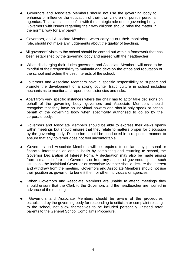- Governors and Associate Members should not use the governing body to enhance or influence the education of their own children or pursue personal agendas. This can cause conflict with the strategic role of the governing body. Governors with issues regarding their own children should raise the matter in the normal way for any parent.
- Governors, and Associate Members, when carrying out their monitoring role, should not make any judgements about the quality of teaching.
- All governors' visits to the school should be carried out within a framework that has been established by the governing body and agreed with the headteacher.
- When discharging their duties governors and Associate Members will need to be mindful of their responsibility to maintain and develop the ethos and reputation of the school and acting the best interests of the school.
- Governors and Associate Members have a specific responsibility to support and promote the development of a strong counter fraud culture in school including mechanisms to monitor and report inconsistencies and risks.
- Apart from very specific instances where the chair has to actor take decisions on behalf of the governing body, governors and Associate Members should recognise that they have no individual powers and should only speak or action behalf of the governing body when specifically authorised to do so by the corporate body.
- Governors and Associate Members should be able to express their views openly within meetings but should ensure that they relate to matters proper for discussion by the governing body. Discussion should be conducted in a respectful manner to ensure that any governor does not feel uncomfortable.
- Governors and Associate Members will be required to declare any personal or  $\bullet$ financial interest on an annual basis by completing and returning to school, the Governor Declaration of Interest Form. A declaration may also be made arising from a matter before the Governors or from any aspect of governorship. In such situations the individual Governor or Associate Member should declare the interest and withdraw from the meeting. Governors and Associate Members should not use their position as governor to benefit them or other individuals or agencies.
- When Governors and Associate Members are unable to attend meetings they should ensure that the Clerk to the Governors and the headteacher are notified in advance of the meeting.
- Governors and Associate Members should be aware of the procedures established by the governing body for responding to criticism or complaint relating to the school, not allow themselves to be included personally. Instead refer parents to the General School Complaints Procedure.